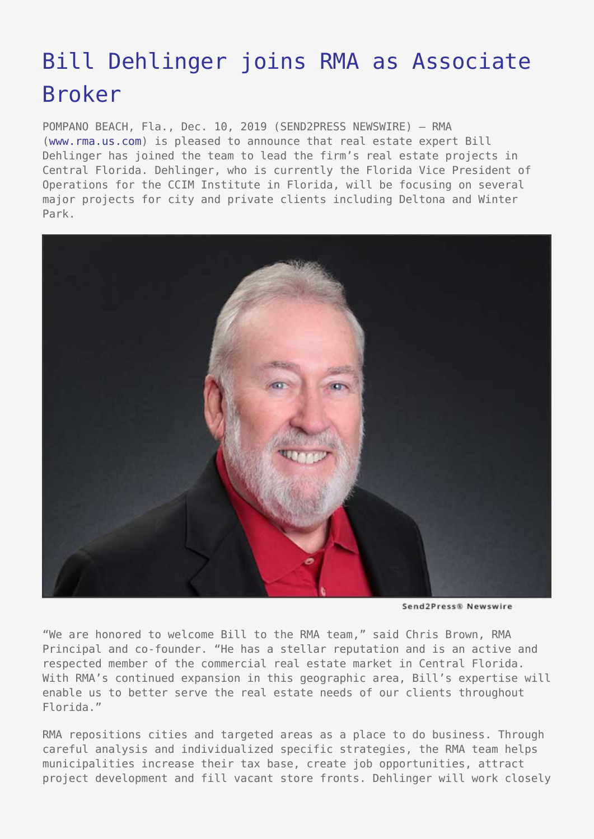## [Bill Dehlinger joins RMA as Associate](https://www.send2press.com/wire/bill-dehlinger-joins-rma-as-associate-broker/) [Broker](https://www.send2press.com/wire/bill-dehlinger-joins-rma-as-associate-broker/)

POMPANO BEACH, Fla., Dec. 10, 2019 (SEND2PRESS NEWSWIRE) — RMA [\(www.rma.us.com\)](http://www.rma.us.com/) is pleased to announce that real estate expert Bill Dehlinger has joined the team to lead the firm's real estate projects in Central Florida. Dehlinger, who is currently the Florida Vice President of Operations for the CCIM Institute in Florida, will be focusing on several major projects for city and private clients including Deltona and Winter Park.



Send2Press® Newswire

"We are honored to welcome Bill to the RMA team," said Chris Brown, RMA Principal and co-founder. "He has a stellar reputation and is an active and respected member of the commercial real estate market in Central Florida. With RMA's continued expansion in this geographic area, Bill's expertise will enable us to better serve the real estate needs of our clients throughout Florida."

RMA repositions cities and targeted areas as a place to do business. Through careful analysis and individualized specific strategies, the RMA team helps municipalities increase their tax base, create job opportunities, attract project development and fill vacant store fronts. Dehlinger will work closely